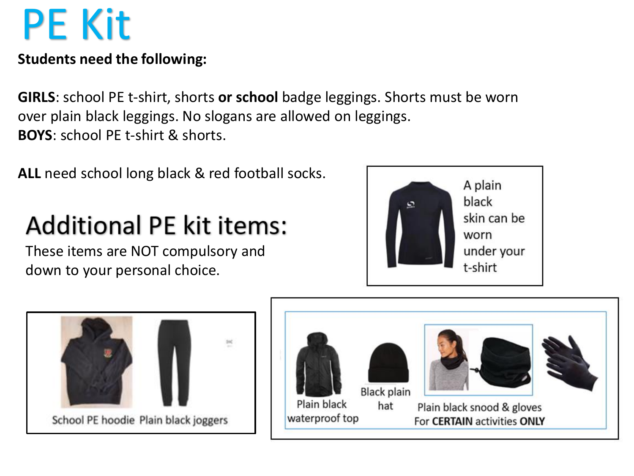# PE Kit

#### **Students need the following:**

**GIRLS**: school PE t-shirt, shorts **or school** badge leggings. Shorts must be worn over plain black leggings. No slogans are allowed on leggings. **BOYS**: school PE t-shirt & shorts.

**ALL** need school long black & red football socks.

## **Additional PE kit items:**

These items are NOT compulsory and down to your personal choice.





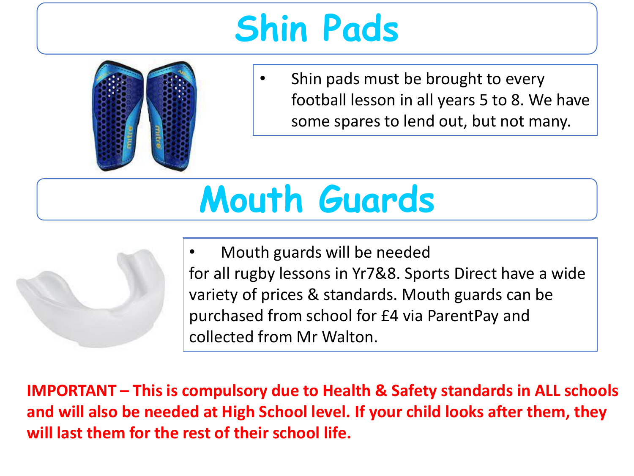## **Shin Pads**



• Shin pads must be brought to every football lesson in all years 5 to 8. We have some spares to lend out, but not many.

# **Mouth Guards**



• Mouth guards will be needed for all rugby lessons in Yr7&8. Sports Direct have a wide variety of prices & standards. Mouth guards can be purchased from school for £4 via ParentPay and collected from Mr Walton.

**IMPORTANT – This is compulsory due to Health & Safety standards in ALL schools and will also be needed at High School level. If your child looks after them, they will last them for the rest of their school life.**